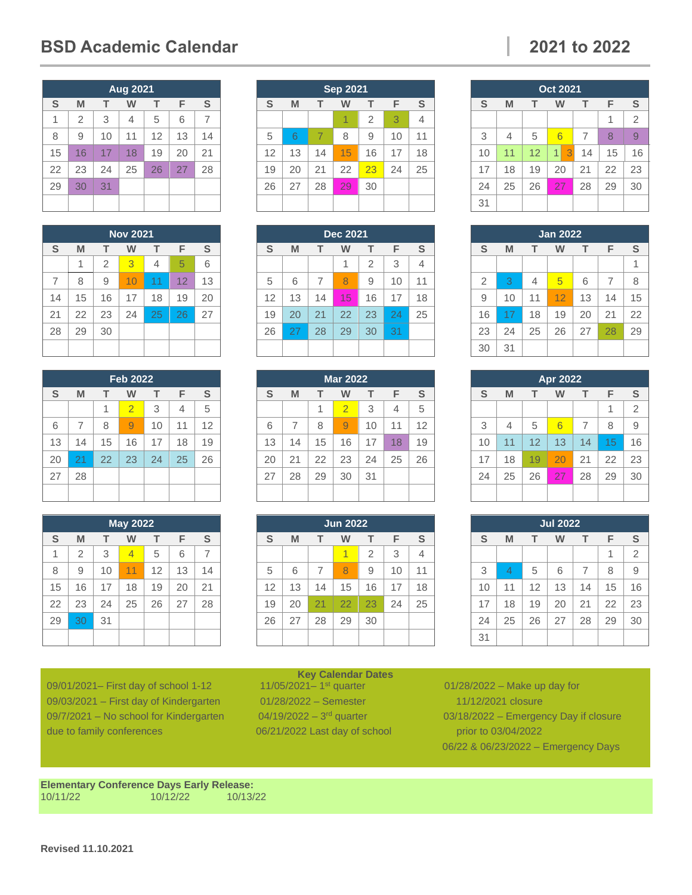## **BSD Academic Calendar 2021 to 2022**

## **Aug 2021 S M T W T F S** 1 2 3 4 5 6 7 8 | 9 | 10 | 11 | 12 | 13 | 14 16 17 18 19 20 21 23 24 25 26 27 28 30 31

| <b>Nov 2021</b> |    |                |    |    |    |    |  |  |
|-----------------|----|----------------|----|----|----|----|--|--|
| S               | M  | т              | w  | т  | F  | S  |  |  |
|                 | 1  | $\overline{2}$ | 3  | 4  | 5  | 6  |  |  |
| $\overline{7}$  | 8  | 9              | 10 | 11 | 12 | 13 |  |  |
| 14              | 15 | 16             | 17 | 18 | 19 | 20 |  |  |
| 21              | 22 | 23             | 24 | 25 | 26 | 27 |  |  |
| 28              | 29 | 30             |    |    |    |    |  |  |
|                 |    |                |    |    |    |    |  |  |

| <b>Feb 2022</b> |    |    |                |    |    |               |  |  |
|-----------------|----|----|----------------|----|----|---------------|--|--|
| S               | M  | т  | w              | т  | F  | ${\mathbb S}$ |  |  |
|                 |    | 1  | $\overline{2}$ | 3  | 4  | 5             |  |  |
| 6               | 7  | 8  | 9              | 10 | 11 | 12            |  |  |
| 13              | 14 | 15 | 16             | 17 | 18 | 19            |  |  |
| 20              | 21 | 22 | 23             | 24 | 25 | 26            |  |  |
| 27              | 28 |    |                |    |    |               |  |  |
|                 |    |    |                |    |    |               |  |  |

| <b>May 2022</b> |                |    |                |    |    |               |  |  |
|-----------------|----------------|----|----------------|----|----|---------------|--|--|
| S               | M              | т  | w              | т  | F  | ${\mathbb S}$ |  |  |
| 1               | $\overline{2}$ | 3  | $\overline{4}$ | 5  | 6  | 7             |  |  |
| 8               | 9              | 10 | 11             | 12 | 13 | 14            |  |  |
| 15              | 16             | 17 | 18             | 19 | 20 | 21            |  |  |
| 22              | 23             | 24 | 25             | 26 | 27 | 28            |  |  |
| 29              | 30             | 31 |                |    |    |               |  |  |
|                 |                |    |                |    |    |               |  |  |

09/01/2021 – First day of school 1-12 09/03/2021 – First day of Kindergarten 01/28/2022 – Semester 11/12/2021 closure 09/7/2021 – No school for Kindergarten  $04/19/2022 - 3^{rd}$  quarter due to family conferences 06/21/2022 Last day of school prior to 03/04/2022

| <b>Revised 11.10.2021</b> |  |
|---------------------------|--|

**Elementary Conference Days Early Release:** 10/11/22 10/12/22 10/13/22

| <b>Sep 2021</b> |                       |                |    |                |    |                |  |  |
|-----------------|-----------------------|----------------|----|----------------|----|----------------|--|--|
| S               | F<br>т<br>т<br>M<br>w |                |    |                |    |                |  |  |
|                 |                       |                | 1  | $\overline{2}$ | 3  | $\overline{4}$ |  |  |
| 5               | 6                     | $\overline{7}$ | 8  | 9              | 10 | 11             |  |  |
| 12              | 13                    | 14             | 15 | 16             | 17 | 18             |  |  |
| 19              | 20                    | 21             | 22 | 23             | 24 | 25             |  |  |
| 26              | 27                    | 28             | 29 | 30             |    |                |  |  |
|                 |                       |                |    |                |    |                |  |  |

| <b>Dec 2021</b>            |    |    |    |                |    |    |  |  |
|----------------------------|----|----|----|----------------|----|----|--|--|
| S<br>F<br>M<br>т<br>т<br>w |    |    |    |                |    |    |  |  |
|                            |    |    | 1  | $\overline{2}$ | 3  | 4  |  |  |
| 5                          | 6  | 7  | 8  | 9              | 10 | 11 |  |  |
| 12                         | 13 | 14 | 15 | 16             | 17 | 18 |  |  |
| 19                         | 20 | 21 | 22 | 23             | 24 | 25 |  |  |
| 26                         | 27 | 28 | 29 | 30             | 31 |    |  |  |
|                            |    |    |    |                |    |    |  |  |

| <b>Mar 2022</b> |                       |    |                |    |    |    |  |  |
|-----------------|-----------------------|----|----------------|----|----|----|--|--|
| S               | F<br>M<br>т<br>т<br>w |    |                |    |    |    |  |  |
|                 |                       | 1  | $\overline{2}$ | 3  | 4  | 5  |  |  |
| 6               | 7                     | 8  | 9              | 10 | 11 | 12 |  |  |
| 13              | 14                    | 15 | 16             | 17 | 18 | 19 |  |  |
| 20              | 21                    | 22 | 23             | 24 | 25 | 26 |  |  |
| 27              | 28                    | 29 | 30             | 31 |    |    |  |  |
|                 |                       |    |                |    |    |    |  |  |

| <b>Jun 2022</b> |                  |    |    |                |    |    |  |  |
|-----------------|------------------|----|----|----------------|----|----|--|--|
| S               | т<br>M<br>т<br>w |    |    |                |    | S  |  |  |
|                 |                  |    | 1  | $\overline{2}$ | 3  | 4  |  |  |
| 5               | 6                | 7  | 8  | 9              | 10 | 11 |  |  |
| 12              | 13               | 14 | 15 | 16             | 17 | 18 |  |  |
| 19              | 20               | 21 | 22 | 23             | 24 | 25 |  |  |
| 26              | 27               | 28 | 29 | 30             |    |    |  |  |
|                 |                  |    |    |                |    |    |  |  |

**Key Calendar Dates**<br>11/05/2021-1<sup>st</sup> quarter

| <b>Oct 2021</b> |    |    |        |    |    |                |  |
|-----------------|----|----|--------|----|----|----------------|--|
| S               | M  | т  | W      | T. | F  | S              |  |
|                 |    |    |        |    | 1  | $\overline{2}$ |  |
| 3               | 4  | 5  | 6      | 7  | 8  | 9              |  |
| 10              | 11 | 12 | 3<br>1 | 14 | 15 | 16             |  |
| 17              | 18 | 19 | 20     | 21 | 22 | 23             |  |
| 24              | 25 | 26 | 27     | 28 | 29 | 30             |  |
| 31              |    |    |        |    |    |                |  |

| <b>Jan 2022</b> |    |    |    |    |                |    |  |  |
|-----------------|----|----|----|----|----------------|----|--|--|
| S               | M  | т  | W  | т  | F              | S  |  |  |
|                 |    |    |    |    |                | 1  |  |  |
| $\overline{2}$  | 3  | 4  | 5  | 6  | $\overline{7}$ | 8  |  |  |
| 9               | 10 | 11 | 12 | 13 | 14             | 15 |  |  |
| 16              | 17 | 18 | 19 | 20 | 21             | 22 |  |  |
| 23              | 24 | 25 | 26 | 27 | 28             | 29 |  |  |
| 30              | 31 |    |    |    |                |    |  |  |

| Apr 2022 |                       |    |    |    |    |                |  |  |
|----------|-----------------------|----|----|----|----|----------------|--|--|
| S        | F<br>т<br>т<br>W<br>M |    |    |    |    |                |  |  |
|          |                       |    |    |    | 1  | $\overline{2}$ |  |  |
| 3        | 4                     | 5  | 6  | 7  | 8  | 9              |  |  |
| 10       | 11                    | 12 | 13 | 14 | 15 | 16             |  |  |
| 17       | 18                    | 19 | 20 | 21 | 22 | 23             |  |  |
| 24       | 25                    | 26 | 27 | 28 | 29 | 30             |  |  |
|          |                       |    |    |    |    |                |  |  |

| <b>Jul 2022</b> |    |    |    |                |    |                |  |  |
|-----------------|----|----|----|----------------|----|----------------|--|--|
| S               | M  | т  | W  | т              | F  | S              |  |  |
|                 |    |    |    |                | 1  | $\overline{2}$ |  |  |
| 3               | 4  | 5  | 6  | $\overline{7}$ | 8  | 9              |  |  |
| 10              | 11 | 12 | 13 | 14             | 15 | 16             |  |  |
| 17              | 18 | 19 | 20 | 21             | 22 | 23             |  |  |
| 24              | 25 | 26 | 27 | 28             | 29 | 30             |  |  |
| 31              |    |    |    |                |    |                |  |  |

 $01/28/2022$  – Make up day for  $03/18/2022$  – Emergency Day if closure 06/22 & 06/23/2022 – Emergency Days